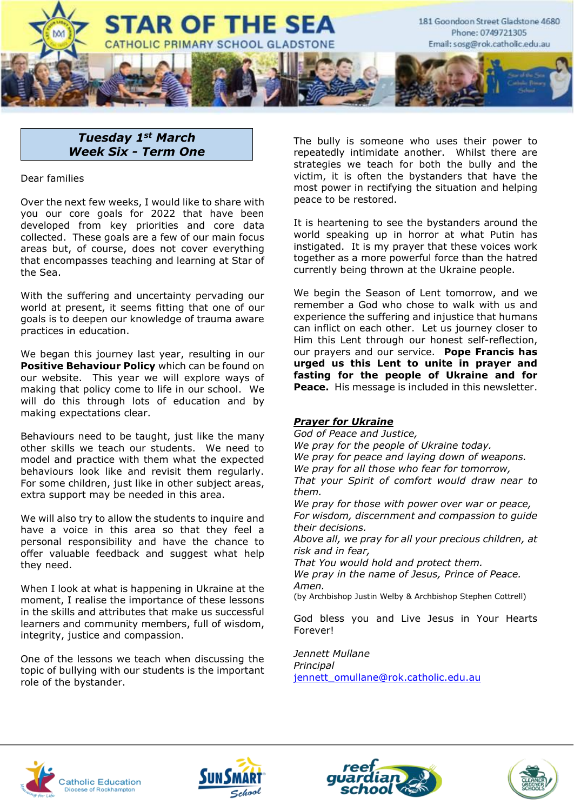

# *Tuesday 1st March Week Six - Term One*

Dear families

Over the next few weeks, I would like to share with you our core goals for 2022 that have been developed from key priorities and core data collected. These goals are a few of our main focus areas but, of course, does not cover everything that encompasses teaching and learning at Star of the Sea.

With the suffering and uncertainty pervading our world at present, it seems fitting that one of our goals is to deepen our knowledge of trauma aware practices in education.

We began this journey last year, resulting in our **Positive Behaviour Policy** which can be found on our website. This year we will explore ways of making that policy come to life in our school. We will do this through lots of education and by making expectations clear.

Behaviours need to be taught, just like the many other skills we teach our students. We need to model and practice with them what the expected behaviours look like and revisit them regularly. For some children, just like in other subject areas, extra support may be needed in this area.

We will also try to allow the students to inquire and have a voice in this area so that they feel a personal responsibility and have the chance to offer valuable feedback and suggest what help they need.

When I look at what is happening in Ukraine at the moment, I realise the importance of these lessons in the skills and attributes that make us successful learners and community members, full of wisdom, integrity, justice and compassion.

One of the lessons we teach when discussing the topic of bullying with our students is the important role of the bystander.

The bully is someone who uses their power to repeatedly intimidate another. Whilst there are strategies we teach for both the bully and the victim, it is often the bystanders that have the most power in rectifying the situation and helping peace to be restored.

It is heartening to see the bystanders around the world speaking up in horror at what Putin has instigated. It is my prayer that these voices work together as a more powerful force than the hatred currently being thrown at the Ukraine people.

We begin the Season of Lent tomorrow, and we remember a God who chose to walk with us and experience the suffering and injustice that humans can inflict on each other. Let us journey closer to Him this Lent through our honest self-reflection, our prayers and our service. **Pope Francis has urged us this Lent to unite in prayer and fasting for the people of Ukraine and for Peace.** His message is included in this newsletter.

#### *Prayer for Ukraine*

*God of Peace and Justice, We pray for the people of Ukraine today. We pray for peace and laying down of weapons. We pray for all those who fear for tomorrow, That your Spirit of comfort would draw near to them.*

*We pray for those with power over war or peace, For wisdom, discernment and compassion to guide their decisions.*

*Above all, we pray for all your precious children, at risk and in fear,* 

*That You would hold and protect them.*

*We pray in the name of Jesus, Prince of Peace. Amen.*

(by Archbishop Justin Welby & Archbishop Stephen Cottrell)

God bless you and Live Jesus in Your Hearts Forever!

*Jennett Mullane Principal* [jennett\\_omullane@rok.catholic.edu.au](mailto:jennett_omullane@rok.catholic.edu.au)







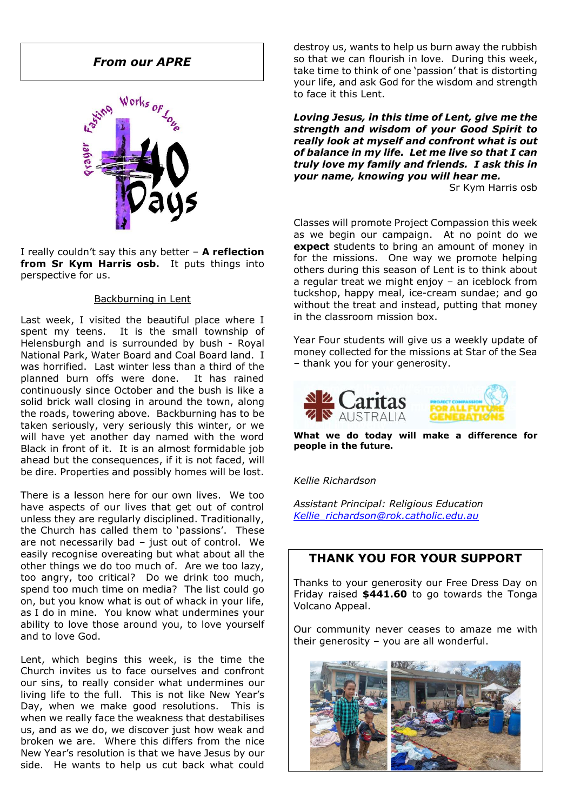# *From our APRE*



I really couldn't say this any better – **A reflection from Sr Kym Harris osb.** It puts things into perspective for us.

#### Backburning in Lent

Last week, I visited the beautiful place where I spent my teens. It is the small township of Helensburgh and is surrounded by bush - Royal National Park, Water Board and Coal Board land. I was horrified. Last winter less than a third of the planned burn offs were done. It has rained continuously since October and the bush is like a solid brick wall closing in around the town, along the roads, towering above. Backburning has to be taken seriously, very seriously this winter, or we will have yet another day named with the word Black in front of it. It is an almost formidable job ahead but the consequences, if it is not faced, will be dire. Properties and possibly homes will be lost.

There is a lesson here for our own lives. We too have aspects of our lives that get out of control unless they are regularly disciplined. Traditionally, the Church has called them to 'passions'. These are not necessarily bad – just out of control. We easily recognise overeating but what about all the other things we do too much of. Are we too lazy, too angry, too critical? Do we drink too much, spend too much time on media? The list could go on, but you know what is out of whack in your life, as I do in mine. You know what undermines your ability to love those around you, to love yourself and to love God.

Lent, which begins this week, is the time the Church invites us to face ourselves and confront our sins, to really consider what undermines our living life to the full. This is not like New Year's Day, when we make good resolutions. This is when we really face the weakness that destabilises us, and as we do, we discover just how weak and broken we are. Where this differs from the nice New Year's resolution is that we have Jesus by our side. He wants to help us cut back what could

destroy us, wants to help us burn away the rubbish so that we can flourish in love. During this week, take time to think of one 'passion' that is distorting your life, and ask God for the wisdom and strength to face it this Lent.

*Loving Jesus, in this time of Lent, give me the strength and wisdom of your Good Spirit to really look at myself and confront what is out of balance in my life. Let me live so that I can truly love my family and friends. I ask this in your name, knowing you will hear me.*

Sr Kym Harris osb

Classes will promote Project Compassion this week as we begin our campaign. At no point do we **expect** students to bring an amount of money in for the missions. One way we promote helping others during this season of Lent is to think about a regular treat we might enjoy – an iceblock from tuckshop, happy meal, ice-cream sundae; and go without the treat and instead, putting that money in the classroom mission box.

Year Four students will give us a weekly update of money collected for the missions at Star of the Sea – thank you for your generosity.



**What we do today will make a difference for people in the future.**

*Kellie Richardson*

*Assistant Principal: Religious Education [Kellie\\_richardson@rok.catholic.edu.au](mailto:Kellie_richardson@rok.catholic.edu.au)*

# **THANK YOU FOR YOUR SUPPORT**

Thanks to your generosity our Free Dress Day on Friday raised **\$441.60** to go towards the Tonga Volcano Appeal.

Our community never ceases to amaze me with their generosity – you are all wonderful.

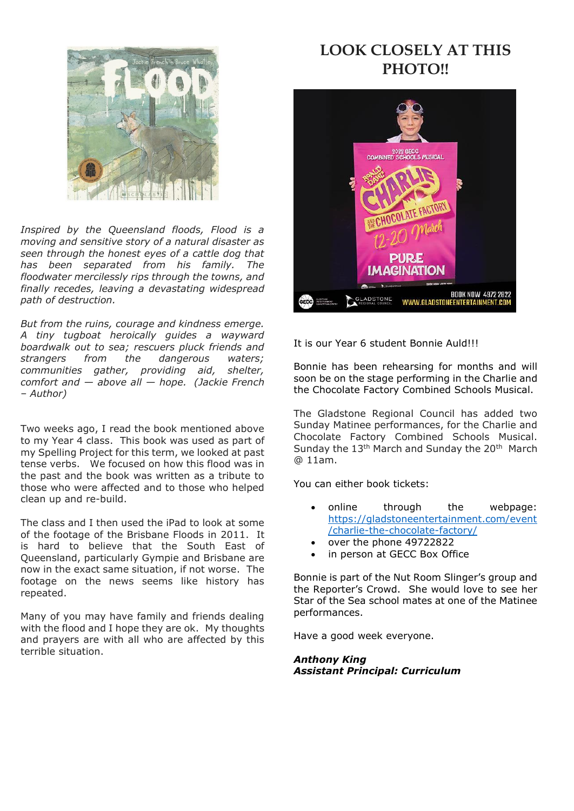

*Inspired by the Queensland floods, Flood is a moving and sensitive story of a natural disaster as seen through the honest eyes of a cattle dog that has been separated from his family. The floodwater mercilessly rips through the towns, and finally recedes, leaving a devastating widespread path of destruction.*

*But from the ruins, courage and kindness emerge. A tiny tugboat heroically guides a wayward boardwalk out to sea; rescuers pluck friends and strangers from the dangerous waters; communities gather, providing aid, shelter, comfort and — above all — hope. (Jackie French – Author)*

Two weeks ago, I read the book mentioned above to my Year 4 class. This book was used as part of my Spelling Project for this term, we looked at past tense verbs. We focused on how this flood was in the past and the book was written as a tribute to those who were affected and to those who helped clean up and re-build.

The class and I then used the iPad to look at some of the footage of the Brisbane Floods in 2011. It is hard to believe that the South East of Queensland, particularly Gympie and Brisbane are now in the exact same situation, if not worse. The footage on the news seems like history has repeated.

Many of you may have family and friends dealing with the flood and I hope they are ok. My thoughts and prayers are with all who are affected by this terrible situation.

# **LOOK CLOSELY AT THIS PHOTO!!**



It is our Year 6 student Bonnie Auld!!!

Bonnie has been rehearsing for months and will soon be on the stage performing in the Charlie and the Chocolate Factory Combined Schools Musical.

The Gladstone Regional Council has added two Sunday Matinee performances, for the Charlie and Chocolate Factory Combined Schools Musical. Sunday the  $13<sup>th</sup>$  March and Sunday the  $20<sup>th</sup>$  March @ 11am.

You can either book tickets:

- online through the webpage: [https://gladstoneentertainment.com/event](https://protect-au.mimecast.com/s/z_0cCRON5qH5DGWpu9cHrW?domain=gladstoneentertainment.com/) [/charlie-the-chocolate-factory/](https://protect-au.mimecast.com/s/z_0cCRON5qH5DGWpu9cHrW?domain=gladstoneentertainment.com/)
- over the phone 49722822
- in person at GECC Box Office

Bonnie is part of the Nut Room Slinger's group and the Reporter's Crowd. She would love to see her Star of the Sea school mates at one of the Matinee performances.

Have a good week everyone.

*Anthony King Assistant Principal: Curriculum*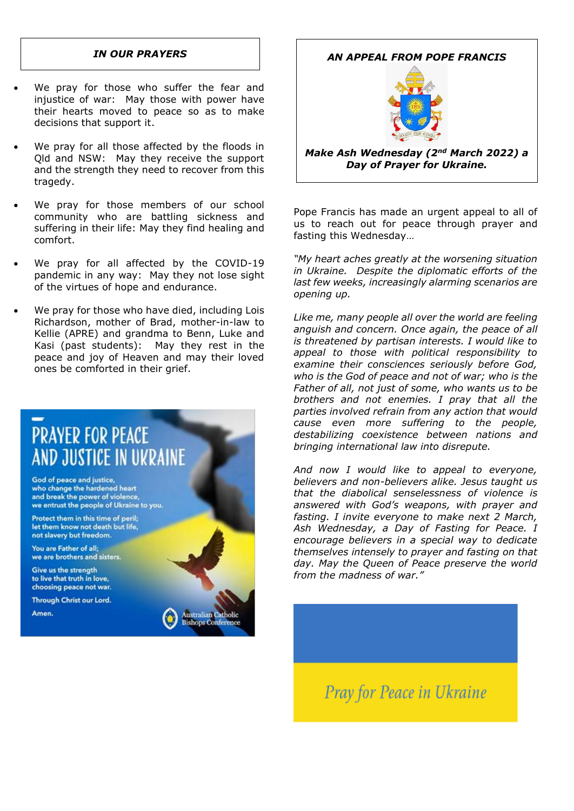- We pray for those who suffer the fear and injustice of war: May those with power have their hearts moved to peace so as to make decisions that support it.
- We pray for all those affected by the floods in Qld and NSW: May they receive the support and the strength they need to recover from this tragedy.
- We pray for those members of our school community who are battling sickness and suffering in their life: May they find healing and comfort.
- We pray for all affected by the COVID-19 pandemic in any way: May they not lose sight of the virtues of hope and endurance.
- We pray for those who have died, including Lois Richardson, mother of Brad, mother-in-law to Kellie (APRE) and grandma to Benn, Luke and Kasi (past students): May they rest in the peace and joy of Heaven and may their loved ones be comforted in their grief.



# *IN OUR PRAYERS AN APPEAL FROM POPE FRANCIS*



*Make Ash Wednesday (2nd March 2022) a Day of Prayer for Ukraine.*

Pope Francis has made an urgent appeal to all of us to reach out for peace through prayer and fasting this Wednesday…

*"My heart aches greatly at the worsening situation in Ukraine. Despite the diplomatic efforts of the last few weeks, increasingly alarming scenarios are opening up.*

*Like me, many people all over the world are feeling anguish and concern. Once again, the peace of all is threatened by partisan interests. I would like to appeal to those with political responsibility to examine their consciences seriously before God, who is the God of peace and not of war; who is the Father of all, not just of some, who wants us to be brothers and not enemies. I pray that all the parties involved refrain from any action that would cause even more suffering to the people, destabilizing coexistence between nations and bringing international law into disrepute.*

*And now I would like to appeal to everyone, believers and non-believers alike. Jesus taught us that the diabolical senselessness of violence is answered with God's weapons, with prayer and fasting. I invite everyone to make next 2 March, Ash Wednesday, a Day of Fasting for Peace. I encourage believers in a special way to dedicate themselves intensely to prayer and fasting on that day. May the Queen of Peace preserve the world from the madness of war."*

Pray for Peace in Ukraine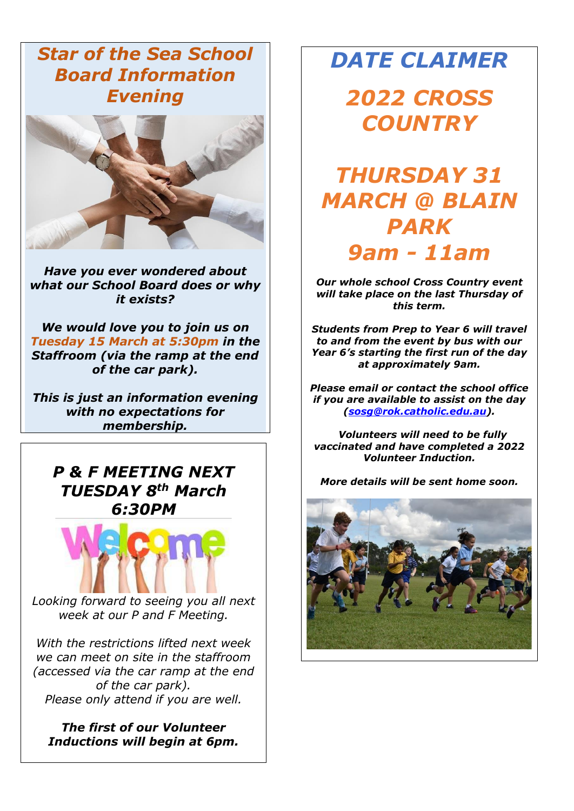*Star of the Sea School Board Information Evening*



*Have you ever wondered about what our School Board does or why it exists?*

*We would love you to join us on Tuesday 15 March at 5:30pm in the Staffroom (via the ramp at the end of the car park).*

*This is just an information evening with no expectations for membership.* 

*P & F MEETING NEXT TUESDAY 8th March 6:30PM*



*Looking forward to seeing you all next week at our P and F Meeting.*

*With the restrictions lifted next week we can meet on site in the staffroom (accessed via the car ramp at the end of the car park). Please only attend if you are well.*

*The first of our Volunteer Inductions will begin at 6pm.* 

# *DATE CLAIMER*

*2022 CROSS COUNTRY*

# *THURSDAY 31 MARCH @ BLAIN PARK 9am - 11am*

*Our whole school Cross Country event will take place on the last Thursday of this term.*

*Students from Prep to Year 6 will travel to and from the event by bus with our Year 6's starting the first run of the day at approximately 9am.*

*Please email or contact the school office if you are available to assist on the day [\(sosg@rok.catholic.edu.au\)](mailto:sosg@rok.catholic.edu.au).*

 *Volunteers will need to be fully vaccinated and have completed a 2022 Volunteer Induction.*

*More details will be sent home soon.*

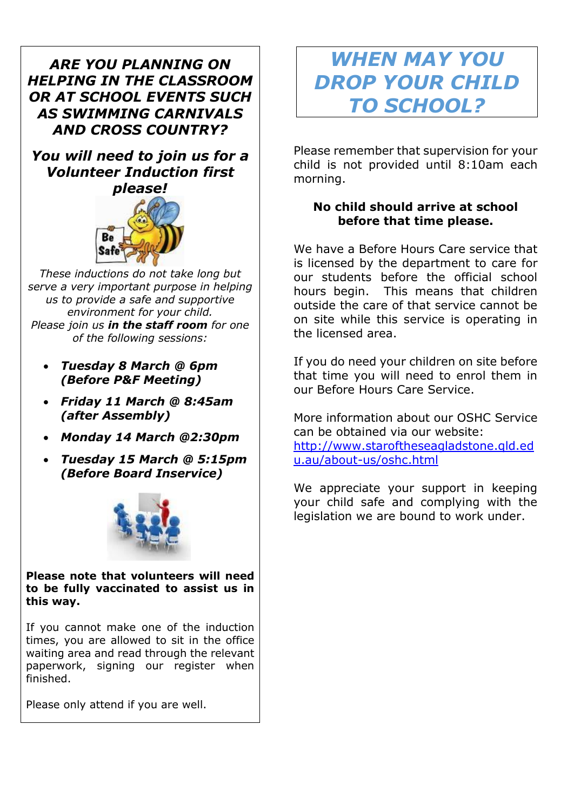# *ARE YOU PLANNING ON HELPING IN THE CLASSROOM OR AT SCHOOL EVENTS SUCH AS SWIMMING CARNIVALS AND CROSS COUNTRY?*

*You will need to join us for a Volunteer Induction first please!*



*These inductions do not take long but serve a very important purpose in helping us to provide a safe and supportive environment for your child. Please join us in the staff room for one of the following sessions:*

- *Tuesday 8 March @ 6pm (Before P&F Meeting)*
- *Friday 11 March @ 8:45am (after Assembly)*
- *Monday 14 March @2:30pm*
- *Tuesday 15 March @ 5:15pm (Before Board Inservice)*



**Please note that volunteers will need to be fully vaccinated to assist us in this way.**

If you cannot make one of the induction times, you are allowed to sit in the office waiting area and read through the relevant paperwork, signing our register when finished.

Please only attend if you are well.

# *WHEN MAY YOU DROP YOUR CHILD TO SCHOOL?*

Please remember that supervision for your child is not provided until 8:10am each morning.

# **No child should arrive at school before that time please.**

We have a Before Hours Care service that is licensed by the department to care for our students before the official school hours begin. This means that children outside the care of that service cannot be on site while this service is operating in the licensed area.

If you do need your children on site before that time you will need to enrol them in our Before Hours Care Service.

More information about our OSHC Service can be obtained via our website: [http://www.staroftheseagladstone.qld.ed](http://www.staroftheseagladstone.qld.edu.au/about-us/oshc.html) [u.au/about-us/oshc.html](http://www.staroftheseagladstone.qld.edu.au/about-us/oshc.html)

We appreciate your support in keeping your child safe and complying with the legislation we are bound to work under.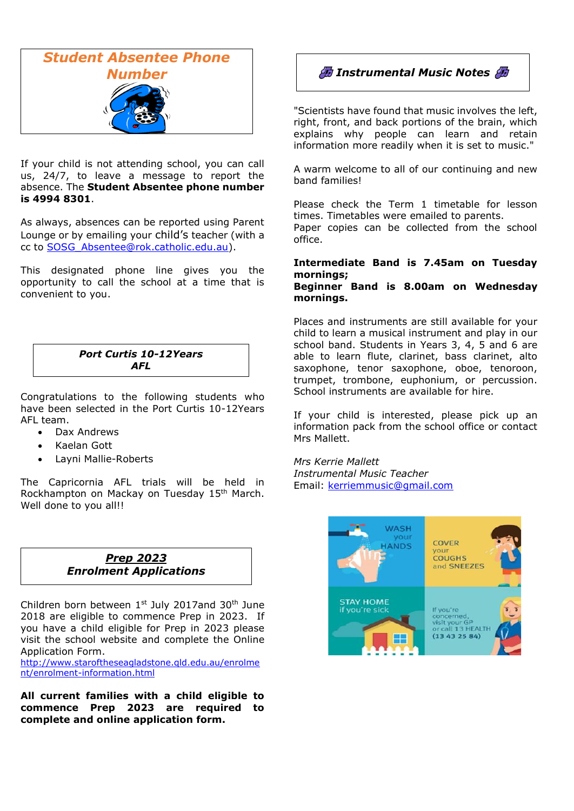

If your child is not attending school, you can call us, 24/7, to leave a message to report the absence. The **Student Absentee phone number is 4994 8301**.

As always, absences can be reported using Parent Lounge or by emailing your child's teacher (with a cc to [SOSG\\_Absentee@rok.catholic.edu.au\)](mailto:SOSG_Absentee@rok.catholic.edu.au).

This designated phone line gives you the opportunity to call the school at a time that is convenient to you.

## *Port Curtis 10-12Years AFL*

Congratulations to the following students who have been selected in the Port Curtis 10-12Years AFL team.

- Dax Andrews
- Kaelan Gott
- Layni Mallie-Roberts

The Capricornia AFL trials will be held in Rockhampton on Mackay on Tuesday 15<sup>th</sup> March. Well done to you all!!

### *Prep 2023 Enrolment Applications*

Children born between  $1<sup>st</sup>$  July 2017and 30<sup>th</sup> June 2018 are eligible to commence Prep in 2023. If you have a child eligible for Prep in 2023 please visit the school website and complete the Online Application Form.

[http://www.staroftheseagladstone.qld.edu.au/enrolme](http://www.staroftheseagladstone.qld.edu.au/enrolment/enrolment-information.html) [nt/enrolment-information.html](http://www.staroftheseagladstone.qld.edu.au/enrolment/enrolment-information.html)

**All current families with a child eligible to commence Prep 2023 are required to complete and online application form.** 



"Scientists have found that music involves the left, right, front, and back portions of the brain, which explains why people can learn and retain information more readily when it is set to music."

A warm welcome to all of our continuing and new band families!

Please check the Term 1 timetable for lesson times. Timetables were emailed to parents. Paper copies can be collected from the school office.

### **Intermediate Band is 7.45am on Tuesday mornings;**

**Beginner Band is 8.00am on Wednesday mornings.**

Places and instruments are still available for your child to learn a musical instrument and play in our school band. Students in Years 3, 4, 5 and 6 are able to learn flute, clarinet, bass clarinet, alto saxophone, tenor saxophone, oboe, tenoroon, trumpet, trombone, euphonium, or percussion. School instruments are available for hire.

If your child is interested, please pick up an information pack from the school office or contact Mrs Mallett.

*Mrs Kerrie Mallett Instrumental Music Teacher* Email: [kerriemmusic@gmail.com](mailto:kerriemmusic@gmail.com)